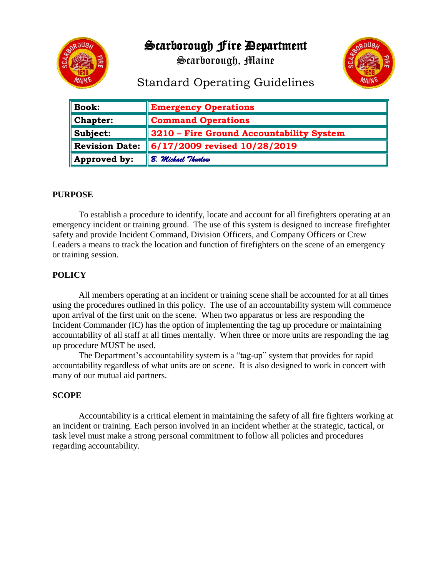Scarborough Fire Department





# Standard Operating Guidelines

| <b>Book:</b>          | <b>Emergency Operations</b>              |
|-----------------------|------------------------------------------|
| <b>Chapter:</b>       | <b>Command Operations</b>                |
| Subject:              | 3210 – Fire Ground Accountability System |
| <b>Revision Date:</b> | 6/17/2009 revised 10/28/2019             |
| Approved by:          | B. Michael Thurlow                       |

## **PURPOSE**

To establish a procedure to identify, locate and account for all firefighters operating at an emergency incident or training ground. The use of this system is designed to increase firefighter safety and provide Incident Command, Division Officers, and Company Officers or Crew Leaders a means to track the location and function of firefighters on the scene of an emergency or training session.

### **POLICY**

All members operating at an incident or training scene shall be accounted for at all times using the procedures outlined in this policy. The use of an accountability system will commence upon arrival of the first unit on the scene. When two apparatus or less are responding the Incident Commander (IC) has the option of implementing the tag up procedure or maintaining accountability of all staff at all times mentally. When three or more units are responding the tag up procedure MUST be used.

The Department's accountability system is a "tag-up" system that provides for rapid accountability regardless of what units are on scene. It is also designed to work in concert with many of our mutual aid partners.

#### **SCOPE**

Accountability is a critical element in maintaining the safety of all fire fighters working at an incident or training. Each person involved in an incident whether at the strategic, tactical, or task level must make a strong personal commitment to follow all policies and procedures regarding accountability.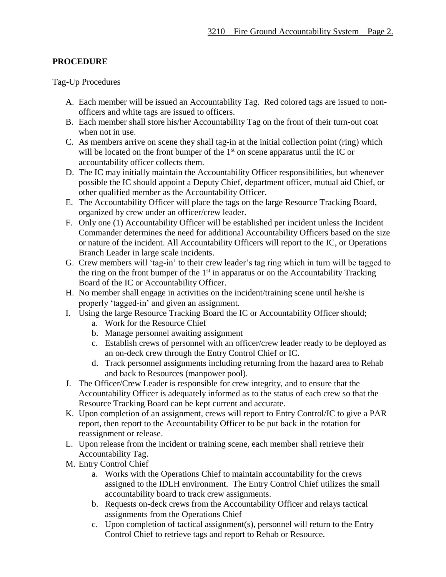# **PROCEDURE**

### Tag-Up Procedures

- A. Each member will be issued an Accountability Tag. Red colored tags are issued to nonofficers and white tags are issued to officers.
- B. Each member shall store his/her Accountability Tag on the front of their turn-out coat when not in use.
- C. As members arrive on scene they shall tag-in at the initial collection point (ring) which will be located on the front bumper of the  $1<sup>st</sup>$  on scene apparatus until the IC or accountability officer collects them.
- D. The IC may initially maintain the Accountability Officer responsibilities, but whenever possible the IC should appoint a Deputy Chief, department officer, mutual aid Chief, or other qualified member as the Accountability Officer.
- E. The Accountability Officer will place the tags on the large Resource Tracking Board, organized by crew under an officer/crew leader.
- F. Only one (1) Accountability Officer will be established per incident unless the Incident Commander determines the need for additional Accountability Officers based on the size or nature of the incident. All Accountability Officers will report to the IC, or Operations Branch Leader in large scale incidents.
- G. Crew members will 'tag-in' to their crew leader's tag ring which in turn will be tagged to the ring on the front bumper of the  $1<sup>st</sup>$  in apparatus or on the Accountability Tracking Board of the IC or Accountability Officer.
- H. No member shall engage in activities on the incident/training scene until he/she is properly 'tagged-in' and given an assignment.
- I. Using the large Resource Tracking Board the IC or Accountability Officer should;
	- a. Work for the Resource Chief
	- b. Manage personnel awaiting assignment
	- c. Establish crews of personnel with an officer/crew leader ready to be deployed as an on-deck crew through the Entry Control Chief or IC.
	- d. Track personnel assignments including returning from the hazard area to Rehab and back to Resources (manpower pool).
- J. The Officer/Crew Leader is responsible for crew integrity, and to ensure that the Accountability Officer is adequately informed as to the status of each crew so that the Resource Tracking Board can be kept current and accurate.
- K. Upon completion of an assignment, crews will report to Entry Control/IC to give a PAR report, then report to the Accountability Officer to be put back in the rotation for reassignment or release.
- L. Upon release from the incident or training scene, each member shall retrieve their Accountability Tag.
- M. Entry Control Chief
	- a. Works with the Operations Chief to maintain accountability for the crews assigned to the IDLH environment. The Entry Control Chief utilizes the small accountability board to track crew assignments.
	- b. Requests on-deck crews from the Accountability Officer and relays tactical assignments from the Operations Chief
	- c. Upon completion of tactical assignment(s), personnel will return to the Entry Control Chief to retrieve tags and report to Rehab or Resource.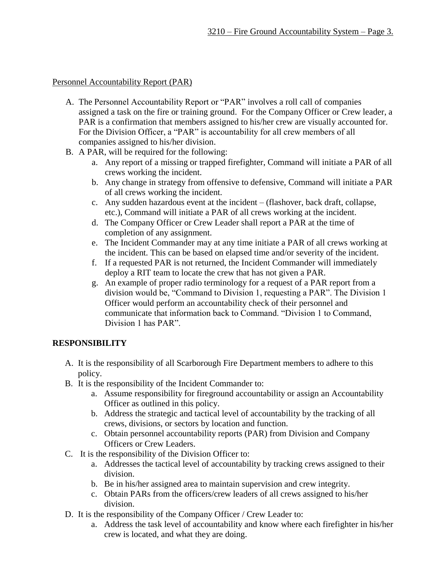## Personnel Accountability Report (PAR)

- A. The Personnel Accountability Report or "PAR" involves a roll call of companies assigned a task on the fire or training ground. For the Company Officer or Crew leader, a PAR is a confirmation that members assigned to his/her crew are visually accounted for. For the Division Officer, a "PAR" is accountability for all crew members of all companies assigned to his/her division.
- B. A PAR, will be required for the following:
	- a. Any report of a missing or trapped firefighter, Command will initiate a PAR of all crews working the incident.
	- b. Any change in strategy from offensive to defensive, Command will initiate a PAR of all crews working the incident.
	- c. Any sudden hazardous event at the incident (flashover, back draft, collapse, etc.), Command will initiate a PAR of all crews working at the incident.
	- d. The Company Officer or Crew Leader shall report a PAR at the time of completion of any assignment.
	- e. The Incident Commander may at any time initiate a PAR of all crews working at the incident. This can be based on elapsed time and/or severity of the incident.
	- f. If a requested PAR is not returned, the Incident Commander will immediately deploy a RIT team to locate the crew that has not given a PAR.
	- g. An example of proper radio terminology for a request of a PAR report from a division would be, "Command to Division 1, requesting a PAR". The Division 1 Officer would perform an accountability check of their personnel and communicate that information back to Command. "Division 1 to Command, Division 1 has PAR".

# **RESPONSIBILITY**

- A. It is the responsibility of all Scarborough Fire Department members to adhere to this policy.
- B. It is the responsibility of the Incident Commander to:
	- a. Assume responsibility for fireground accountability or assign an Accountability Officer as outlined in this policy.
	- b. Address the strategic and tactical level of accountability by the tracking of all crews, divisions, or sectors by location and function.
	- c. Obtain personnel accountability reports (PAR) from Division and Company Officers or Crew Leaders.
- C. It is the responsibility of the Division Officer to:
	- a. Addresses the tactical level of accountability by tracking crews assigned to their division.
	- b. Be in his/her assigned area to maintain supervision and crew integrity.
	- c. Obtain PARs from the officers/crew leaders of all crews assigned to his/her division.
- D. It is the responsibility of the Company Officer / Crew Leader to:
	- a. Address the task level of accountability and know where each firefighter in his/her crew is located, and what they are doing.